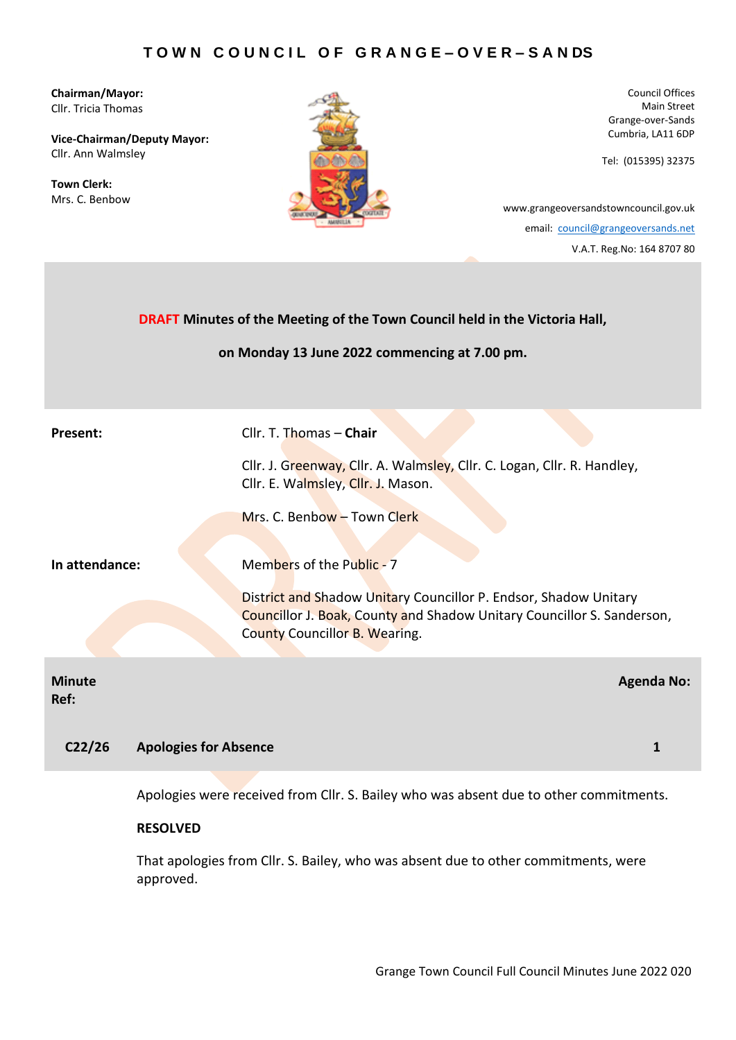**Chairman/Mayor:** Cllr. Tricia Thomas

**Vice-Chairman/Deputy Mayor:** Cllr. Ann Walmsley

**Town Clerk:** Mrs. C. Benbow



Council Offices Main Street Grange-over-Sands Cumbria, LA11 6DP

Tel: (015395) 32375

[www.grangeoversandstowncouncil.gov.uk](http://www.grangeoversandstowncouncil.gov.uk/) email: [council@grangeoversands.net](mailto:council@grangeoversands.net)

V.A.T. Reg.No: 164 8707 80

| <b>DRAFT Minutes of the Meeting of the Town Council held in the Victoria Hall,</b><br>on Monday 13 June 2022 commencing at 7.00 pm. |                                                                                                                                                                             |  |  |
|-------------------------------------------------------------------------------------------------------------------------------------|-----------------------------------------------------------------------------------------------------------------------------------------------------------------------------|--|--|
| Present:                                                                                                                            | Cllr. T. Thomas - Chair                                                                                                                                                     |  |  |
|                                                                                                                                     | Cllr. J. Greenway, Cllr. A. Walmsley, Cllr. C. Logan, Cllr. R. Handley,<br>Cllr. E. Walmsley, Cllr. J. Mason.                                                               |  |  |
|                                                                                                                                     | Mrs. C. Benbow - Town Clerk                                                                                                                                                 |  |  |
| In attendance:                                                                                                                      | Members of the Public - 7                                                                                                                                                   |  |  |
|                                                                                                                                     | District and Shadow Unitary Councillor P. Endsor, Shadow Unitary<br>Councillor J. Boak, County and Shadow Unitary Councillor S. Sanderson,<br>County Councillor B. Wearing. |  |  |
| <b>Minute</b><br>Ref:                                                                                                               | <b>Agenda No:</b>                                                                                                                                                           |  |  |
| C <sub>22/26</sub><br><b>Apologies for Absence</b>                                                                                  | 1                                                                                                                                                                           |  |  |
|                                                                                                                                     |                                                                                                                                                                             |  |  |

Apologies were received from Cllr. S. Bailey who was absent due to other commitments.

# **RESOLVED**

That apologies from Cllr. S. Bailey, who was absent due to other commitments, were approved.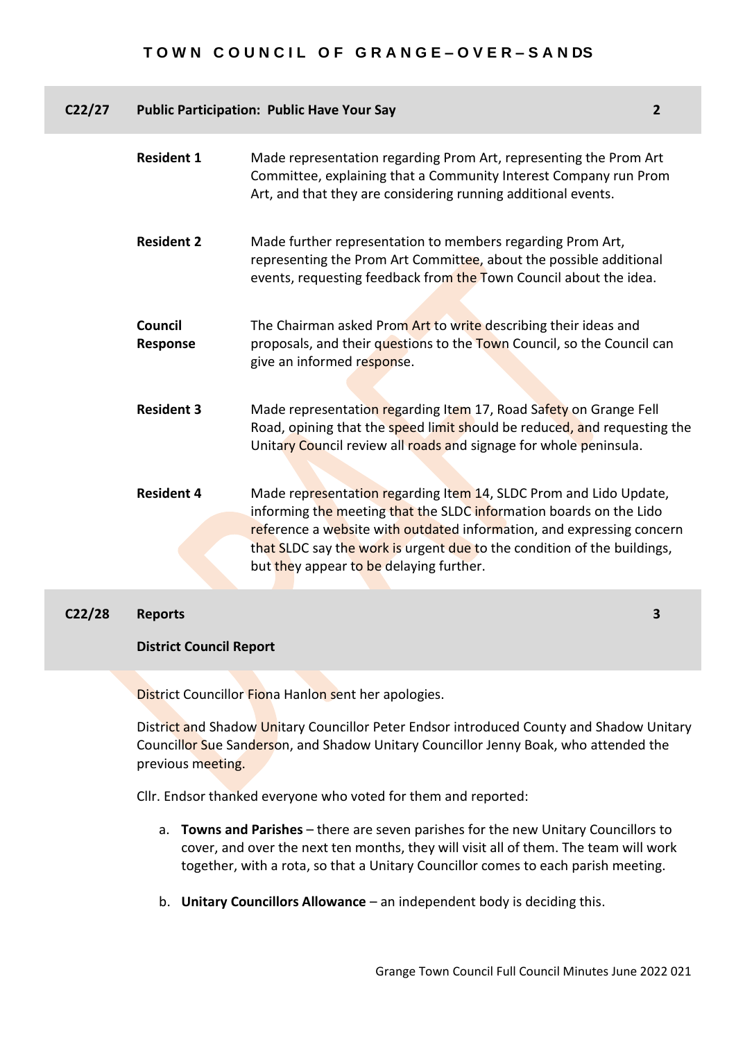| C22/27 |                     | <b>Public Participation: Public Have Your Say</b>                                                                                                                                                                                                                                                                                      | $\overline{2}$ |
|--------|---------------------|----------------------------------------------------------------------------------------------------------------------------------------------------------------------------------------------------------------------------------------------------------------------------------------------------------------------------------------|----------------|
|        | <b>Resident 1</b>   | Made representation regarding Prom Art, representing the Prom Art<br>Committee, explaining that a Community Interest Company run Prom<br>Art, and that they are considering running additional events.                                                                                                                                 |                |
|        | <b>Resident 2</b>   | Made further representation to members regarding Prom Art,<br>representing the Prom Art Committee, about the possible additional<br>events, requesting feedback from the Town Council about the idea.                                                                                                                                  |                |
|        | Council<br>Response | The Chairman asked Prom Art to write describing their ideas and<br>proposals, and their questions to the Town Council, so the Council can<br>give an informed response.                                                                                                                                                                |                |
|        | <b>Resident 3</b>   | Made representation regarding Item 17, Road Safety on Grange Fell<br>Road, opining that the speed limit should be reduced, and requesting the<br>Unitary Council review all roads and signage for whole peninsula.                                                                                                                     |                |
|        | <b>Resident 4</b>   | Made representation regarding Item 14, SLDC Prom and Lido Update,<br>informing the meeting that the SLDC information boards on the Lido<br>reference a website with outdated information, and expressing concern<br>that SLDC say the work is urgent due to the condition of the buildings,<br>but they appear to be delaying further. |                |
| C22/28 | Reports             |                                                                                                                                                                                                                                                                                                                                        | 3              |

### **C22/28 Reports**

#### **District Council Report**

District Councillor Fiona Hanlon sent her apologies.

District and Shadow Unitary Councillor Peter Endsor introduced County and Shadow Unitary Councillor Sue Sanderson, and Shadow Unitary Councillor Jenny Boak, who attended the previous meeting.

Cllr. Endsor thanked everyone who voted for them and reported:

- a. **Towns and Parishes** there are seven parishes for the new Unitary Councillors to cover, and over the next ten months, they will visit all of them. The team will work together, with a rota, so that a Unitary Councillor comes to each parish meeting.
- b. **Unitary Councillors Allowance** an independent body is deciding this.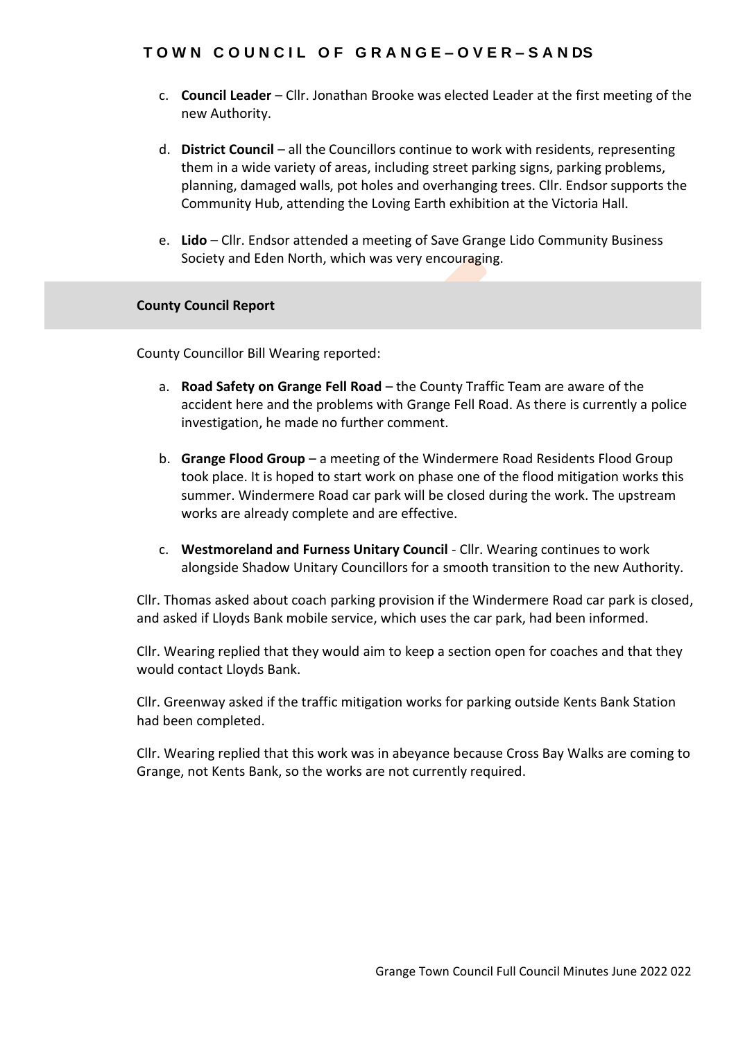- c. **Council Leader**  Cllr. Jonathan Brooke was elected Leader at the first meeting of the new Authority.
- d. **District Council** all the Councillors continue to work with residents, representing them in a wide variety of areas, including street parking signs, parking problems, planning, damaged walls, pot holes and overhanging trees. Cllr. Endsor supports the Community Hub, attending the Loving Earth exhibition at the Victoria Hall.
- e. **Lido**  Cllr. Endsor attended a meeting of Save Grange Lido Community Business Society and Eden North, which was very encouraging.

### **County Council Report**

County Councillor Bill Wearing reported:

- a. **Road Safety on Grange Fell Road** the County Traffic Team are aware of the accident here and the problems with Grange Fell Road. As there is currently a police investigation, he made no further comment.
- b. **Grange Flood Group** a meeting of the Windermere Road Residents Flood Group took place. It is hoped to start work on phase one of the flood mitigation works this summer. Windermere Road car park will be closed during the work. The upstream works are already complete and are effective.
- c. **Westmoreland and Furness Unitary Council** Cllr. Wearing continues to work alongside Shadow Unitary Councillors for a smooth transition to the new Authority.

Cllr. Thomas asked about coach parking provision if the Windermere Road car park is closed, and asked if Lloyds Bank mobile service, which uses the car park, had been informed.

Cllr. Wearing replied that they would aim to keep a section open for coaches and that they would contact Lloyds Bank.

Cllr. Greenway asked if the traffic mitigation works for parking outside Kents Bank Station had been completed.

Cllr. Wearing replied that this work was in abeyance because Cross Bay Walks are coming to Grange, not Kents Bank, so the works are not currently required.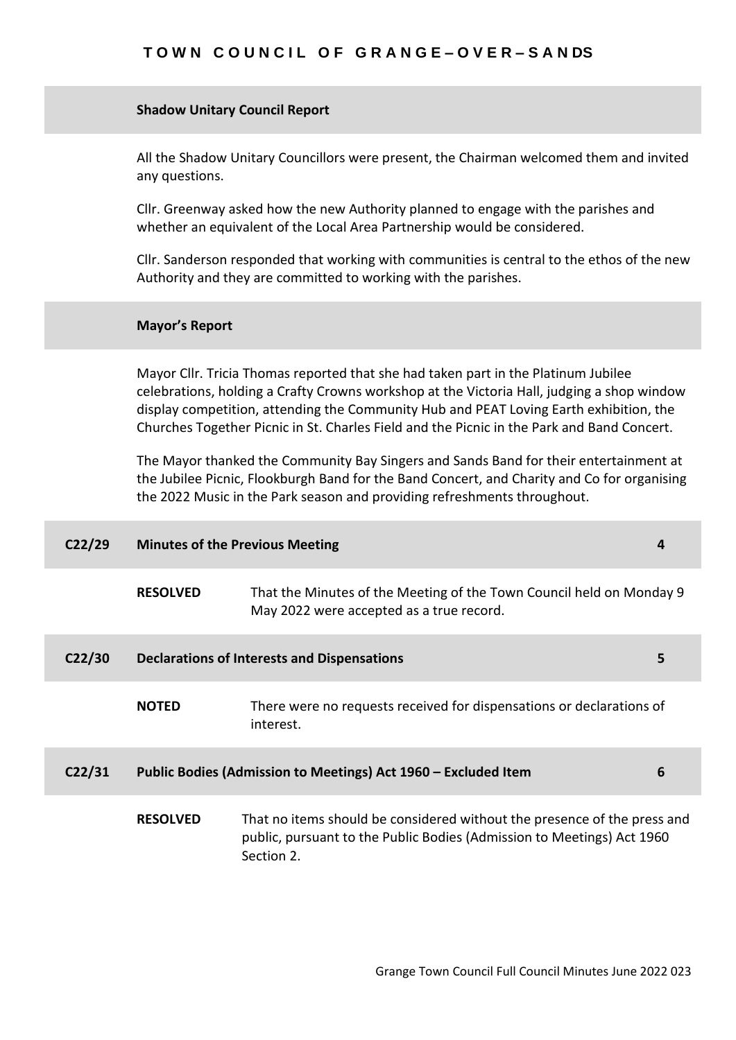#### **Shadow Unitary Council Report**

All the Shadow Unitary Councillors were present, the Chairman welcomed them and invited any questions.

Cllr. Greenway asked how the new Authority planned to engage with the parishes and whether an equivalent of the Local Area Partnership would be considered.

Cllr. Sanderson responded that working with communities is central to the ethos of the new Authority and they are committed to working with the parishes.

#### **Mayor's Report**

Mayor Cllr. Tricia Thomas reported that she had taken part in the Platinum Jubilee celebrations, holding a Crafty Crowns workshop at the Victoria Hall, judging a shop window display competition, attending the Community Hub and PEAT Loving Earth exhibition, the Churches Together Picnic in St. Charles Field and the Picnic in the Park and Band Concert.

The Mayor thanked the Community Bay Singers and Sands Band for their entertainment at the Jubilee Picnic, Flookburgh Band for the Band Concert, and Charity and Co for organising the 2022 Music in the Park season and providing refreshments throughout.

| C <sub>22/29</sub> |                 | <b>Minutes of the Previous Meeting</b>                                                                                                                           | 4 |
|--------------------|-----------------|------------------------------------------------------------------------------------------------------------------------------------------------------------------|---|
|                    | <b>RESOLVED</b> | That the Minutes of the Meeting of the Town Council held on Monday 9<br>May 2022 were accepted as a true record.                                                 |   |
| C <sub>22/30</sub> |                 | <b>Declarations of Interests and Dispensations</b>                                                                                                               | 5 |
|                    | <b>NOTED</b>    | There were no requests received for dispensations or declarations of<br>interest.                                                                                |   |
| C <sub>2</sub> /31 |                 | Public Bodies (Admission to Meetings) Act 1960 - Excluded Item                                                                                                   | 6 |
|                    | <b>RESOLVED</b> | That no items should be considered without the presence of the press and<br>public, pursuant to the Public Bodies (Admission to Meetings) Act 1960<br>Section 2. |   |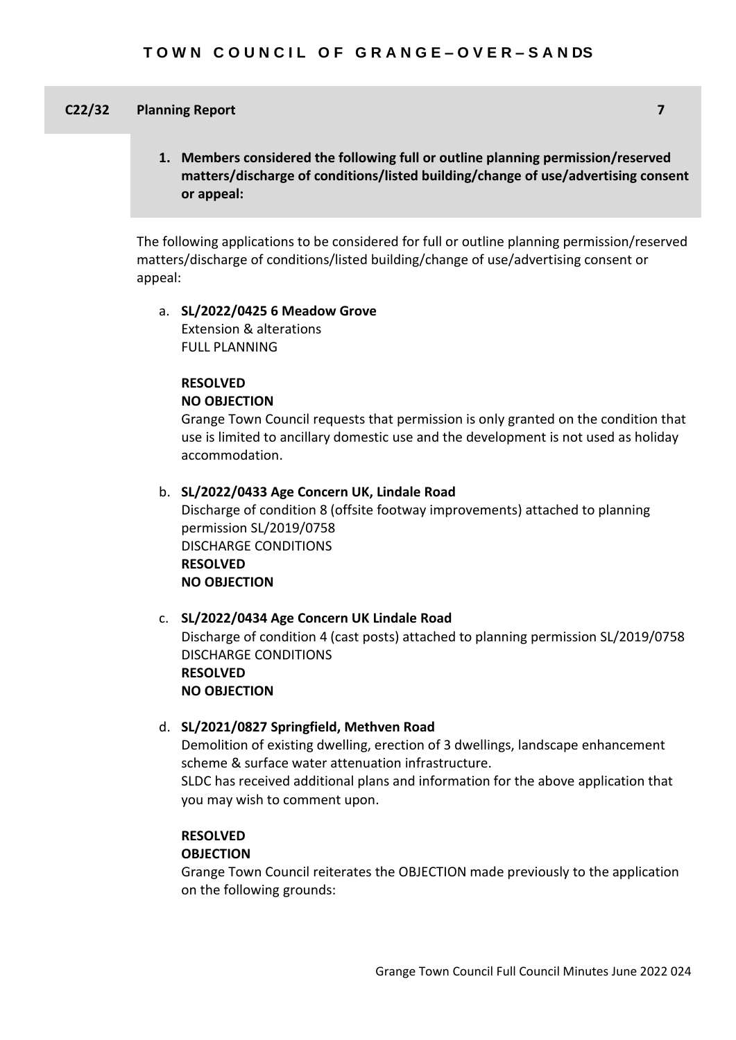### **C22/32 Planning Report 7**

**1. Members considered the following full or outline planning permission/reserved matters/discharge of conditions/listed building/change of use/advertising consent or appeal:**

The following applications to be considered for full or outline planning permission/reserved matters/discharge of conditions/listed building/change of use/advertising consent or appeal:

### a. **SL/2022/0425 6 Meadow Grove** Extension & alterations FULL PLANNING

### **RESOLVED**

#### **NO OBJECTION**

Grange Town Council requests that permission is only granted on the condition that use is limited to ancillary domestic use and the development is not used as holiday accommodation.

#### b. **SL/2022/0433 Age Concern UK, Lindale Road**

Discharge of condition 8 (offsite footway improvements) attached to planning permission SL/2019/0758 DISCHARGE CONDITIONS **RESOLVED NO OBJECTION**

#### c. **SL/2022/0434 Age Concern UK Lindale Road**

Discharge of condition 4 (cast posts) attached to planning permission SL/2019/0758 DISCHARGE CONDITIONS **RESOLVED NO OBJECTION**

#### d. **SL/2021/0827 Springfield, Methven Road**

Demolition of existing dwelling, erection of 3 dwellings, landscape enhancement scheme & surface water attenuation infrastructure.

SLDC has received additional plans and information for the above application that you may wish to comment upon.

# **RESOLVED**

## **OBJECTION**

Grange Town Council reiterates the OBJECTION made previously to the application on the following grounds: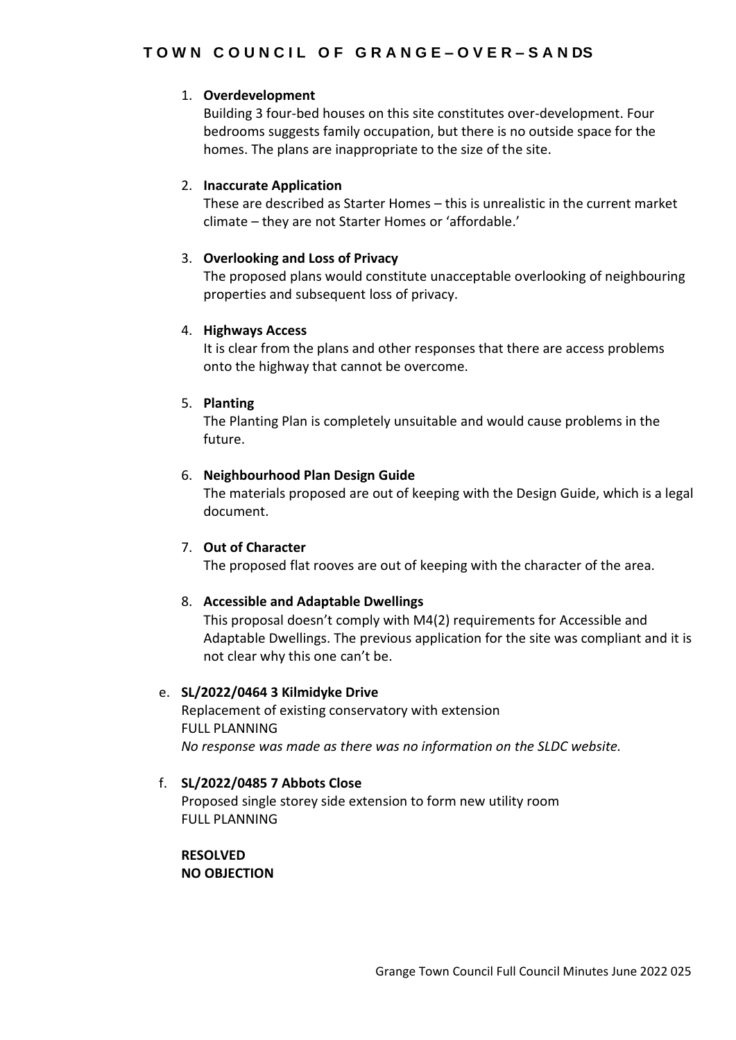# 1. **Overdevelopment**

Building 3 four-bed houses on this site constitutes over-development. Four bedrooms suggests family occupation, but there is no outside space for the homes. The plans are inappropriate to the size of the site.

# 2. **Inaccurate Application**

These are described as Starter Homes – this is unrealistic in the current market climate – they are not Starter Homes or 'affordable.'

# 3. **Overlooking and Loss of Privacy**

The proposed plans would constitute unacceptable overlooking of neighbouring properties and subsequent loss of privacy.

# 4. **Highways Access**

It is clear from the plans and other responses that there are access problems onto the highway that cannot be overcome.

# 5. **Planting**

The Planting Plan is completely unsuitable and would cause problems in the future.

# 6. **Neighbourhood Plan Design Guide**

The materials proposed are out of keeping with the Design Guide, which is a legal document.

# 7. **Out of Character**

The proposed flat rooves are out of keeping with the character of the area.

# 8. **Accessible and Adaptable Dwellings**

This proposal doesn't comply with M4(2) requirements for Accessible and Adaptable Dwellings. The previous application for the site was compliant and it is not clear why this one can't be.

# e. **SL/2022/0464 3 Kilmidyke Drive**

Replacement of existing conservatory with extension FULL PLANNING *No response was made as there was no information on the SLDC website.*

# f. **SL/2022/0485 7 Abbots Close**

Proposed single storey side extension to form new utility room FULL PLANNING

**RESOLVED NO OBJECTION**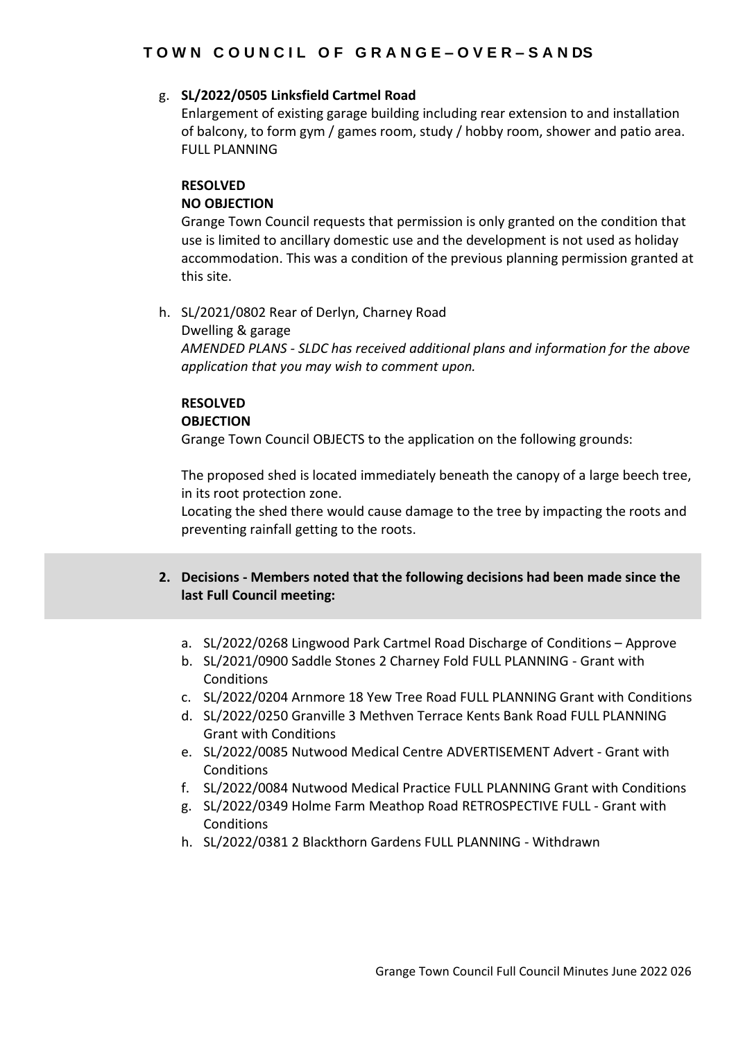# g. **SL/2022/0505 Linksfield Cartmel Road**

Enlargement of existing garage building including rear extension to and installation of balcony, to form gym / games room, study / hobby room, shower and patio area. FULL PLANNING

#### **RESOLVED NO OBJECTION**

Grange Town Council requests that permission is only granted on the condition that use is limited to ancillary domestic use and the development is not used as holiday accommodation. This was a condition of the previous planning permission granted at this site.

h. SL/2021/0802 Rear of Derlyn, Charney Road Dwelling & garage *AMENDED PLANS - SLDC has received additional plans and information for the above application that you may wish to comment upon.*

# **RESOLVED**

# **OBJECTION**

Grange Town Council OBJECTS to the application on the following grounds:

The proposed shed is located immediately beneath the canopy of a large beech tree, in its root protection zone.

Locating the shed there would cause damage to the tree by impacting the roots and preventing rainfall getting to the roots.

- **2. Decisions - Members noted that the following decisions had been made since the last Full Council meeting:**
	- a. SL/2022/0268 Lingwood Park Cartmel Road Discharge of Conditions Approve
	- b. SL/2021/0900 Saddle Stones 2 Charney Fold FULL PLANNING Grant with Conditions
	- c. SL/2022/0204 Arnmore 18 Yew Tree Road FULL PLANNING Grant with Conditions
	- d. SL/2022/0250 Granville 3 Methven Terrace Kents Bank Road FULL PLANNING Grant with Conditions
	- e. SL/2022/0085 Nutwood Medical Centre ADVERTISEMENT Advert Grant with **Conditions**
	- f. SL/2022/0084 Nutwood Medical Practice FULL PLANNING Grant with Conditions
	- g. SL/2022/0349 Holme Farm Meathop Road RETROSPECTIVE FULL Grant with **Conditions**
	- h. SL/2022/0381 2 Blackthorn Gardens FULL PLANNING Withdrawn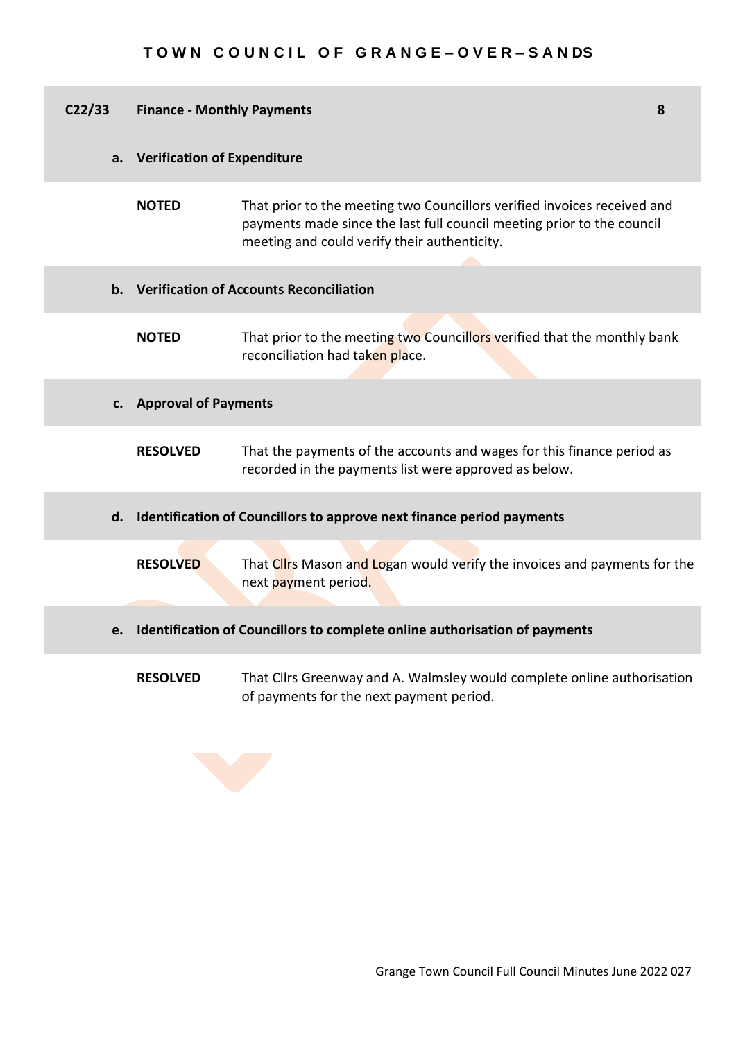| C <sub>22/33</sub> | <b>Finance - Monthly Payments</b>  |                                                                                                                                                                                                    | 8 |
|--------------------|------------------------------------|----------------------------------------------------------------------------------------------------------------------------------------------------------------------------------------------------|---|
| a.                 | <b>Verification of Expenditure</b> |                                                                                                                                                                                                    |   |
|                    | <b>NOTED</b>                       | That prior to the meeting two Councillors verified invoices received and<br>payments made since the last full council meeting prior to the council<br>meeting and could verify their authenticity. |   |
|                    |                                    | b. Verification of Accounts Reconciliation                                                                                                                                                         |   |
|                    | <b>NOTED</b>                       | That prior to the meeting two Councillors verified that the monthly bank<br>reconciliation had taken place.                                                                                        |   |
| c.                 | <b>Approval of Payments</b>        |                                                                                                                                                                                                    |   |
|                    | <b>RESOLVED</b>                    | That the payments of the accounts and wages for this finance period as<br>recorded in the payments list were approved as below.                                                                    |   |
| d.                 |                                    | Identification of Councillors to approve next finance period payments                                                                                                                              |   |
|                    | <b>RESOLVED</b>                    | That Clirs Mason and Logan would verify the invoices and payments for the<br>next payment period.                                                                                                  |   |
| e.                 |                                    | Identification of Councillors to complete online authorisation of payments                                                                                                                         |   |
|                    | <b>RESOLVED</b>                    | That Cllrs Greenway and A. Walmsley would complete online authorisation<br>of payments for the next payment period.                                                                                |   |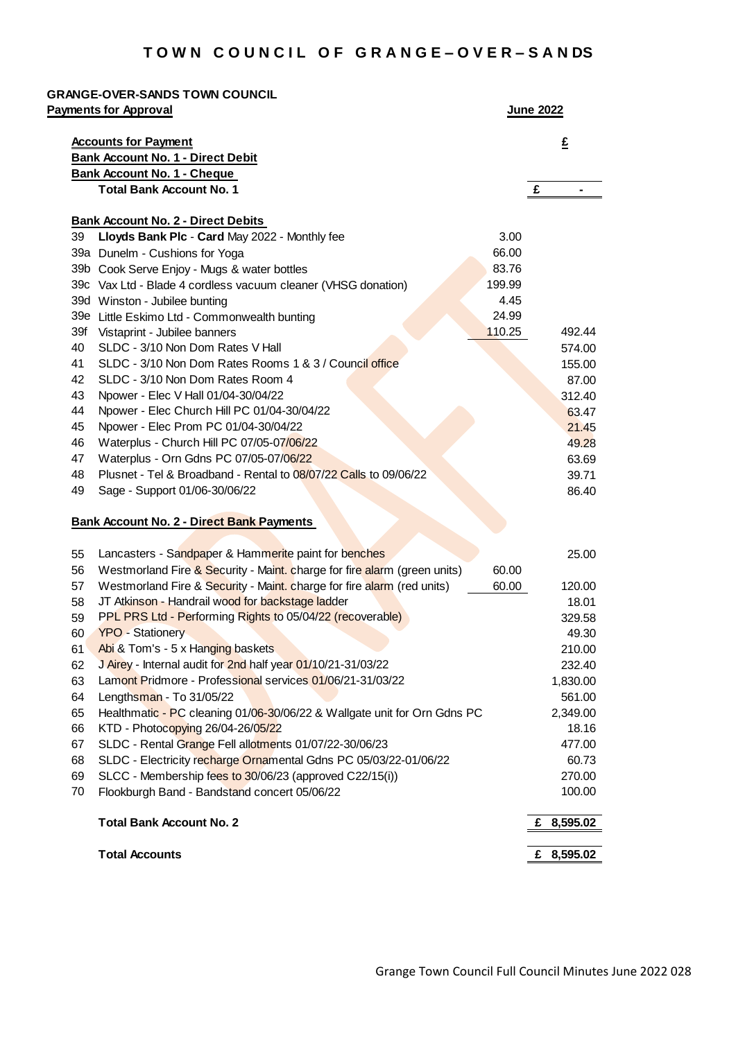|                                                                                        | <b>Accounts for Payment</b>                                                       | £                                                                                                                                       |
|----------------------------------------------------------------------------------------|-----------------------------------------------------------------------------------|-----------------------------------------------------------------------------------------------------------------------------------------|
|                                                                                        | <b>Bank Account No. 1 - Direct Debit</b>                                          |                                                                                                                                         |
|                                                                                        | <b>Bank Account No. 1 - Cheque</b>                                                |                                                                                                                                         |
|                                                                                        | <b>Total Bank Account No. 1</b>                                                   | £<br>$\blacksquare$                                                                                                                     |
|                                                                                        | <b>Bank Account No. 2 - Direct Debits</b>                                         |                                                                                                                                         |
| 39                                                                                     | Lloyds Bank Plc - Card May 2022 - Monthly fee<br>3.00                             |                                                                                                                                         |
|                                                                                        | 66.00<br>39a Dunelm - Cushions for Yoga                                           |                                                                                                                                         |
|                                                                                        | 83.76<br>39b Cook Serve Enjoy - Mugs & water bottles                              |                                                                                                                                         |
|                                                                                        | 199.99<br>39c Vax Ltd - Blade 4 cordless vacuum cleaner (VHSG donation)           |                                                                                                                                         |
|                                                                                        | 4.45<br>39d Winston - Jubilee bunting                                             |                                                                                                                                         |
|                                                                                        | 24.99<br>39e Little Eskimo Ltd - Commonwealth bunting                             |                                                                                                                                         |
|                                                                                        | 110.25<br>39f Vistaprint - Jubilee banners                                        | 492.44                                                                                                                                  |
| 40                                                                                     | SLDC - 3/10 Non Dom Rates V Hall                                                  | 574.00                                                                                                                                  |
| 41                                                                                     | SLDC - 3/10 Non Dom Rates Rooms 1 & 3 / Council office                            | 155.00                                                                                                                                  |
| 42                                                                                     | SLDC - 3/10 Non Dom Rates Room 4                                                  | 87.00                                                                                                                                   |
| 43                                                                                     | Npower - Elec V Hall 01/04-30/04/22                                               | 312.40                                                                                                                                  |
| 44                                                                                     | Npower - Elec Church Hill PC 01/04-30/04/22                                       | 63.47                                                                                                                                   |
| 45                                                                                     | Npower - Elec Prom PC 01/04-30/04/22                                              | 21.45                                                                                                                                   |
| 46                                                                                     | Waterplus - Church Hill PC 07/05-07/06/22                                         | 49.28                                                                                                                                   |
| 47                                                                                     | Waterplus - Orn Gdns PC 07/05-07/06/22                                            | 63.69                                                                                                                                   |
| 48                                                                                     | Plusnet - Tel & Broadband - Rental to 08/07/22 Calls to 09/06/22                  | 39.71                                                                                                                                   |
| 49                                                                                     | Sage - Support 01/06-30/06/22                                                     | 86.40                                                                                                                                   |
|                                                                                        | <b>Bank Account No. 2 - Direct Bank Payments</b>                                  |                                                                                                                                         |
|                                                                                        |                                                                                   |                                                                                                                                         |
|                                                                                        |                                                                                   |                                                                                                                                         |
|                                                                                        | Lancasters - Sandpaper & Hammerite paint for benches                              |                                                                                                                                         |
|                                                                                        | Westmorland Fire & Security - Maint. charge for fire alarm (green units)<br>60.00 |                                                                                                                                         |
|                                                                                        | Westmorland Fire & Security - Maint. charge for fire alarm (red units)<br>60.00   |                                                                                                                                         |
|                                                                                        | JT Atkinson - Handrail wood for backstage ladder                                  |                                                                                                                                         |
|                                                                                        | PPL PRS Ltd - Performing Rights to 05/04/22 (recoverable)                         |                                                                                                                                         |
|                                                                                        | <b>YPO - Stationery</b>                                                           |                                                                                                                                         |
|                                                                                        | Abi & Tom's - 5 x Hanging baskets                                                 |                                                                                                                                         |
|                                                                                        | J Airey - Internal audit for 2nd half year 01/10/21-31/03/22                      |                                                                                                                                         |
|                                                                                        | Lamont Pridmore - Professional services 01/06/21-31/03/22                         |                                                                                                                                         |
|                                                                                        | Lengthsman - To 31/05/22                                                          |                                                                                                                                         |
|                                                                                        | Healthmatic - PC cleaning 01/06-30/06/22 & Wallgate unit for Orn Gdns PC          |                                                                                                                                         |
|                                                                                        | KTD - Photocopying 26/04-26/05/22                                                 |                                                                                                                                         |
|                                                                                        | SLDC - Rental Grange Fell allotments 01/07/22-30/06/23                            |                                                                                                                                         |
|                                                                                        | SLDC - Electricity recharge Ornamental Gdns PC 05/03/22-01/06/22                  |                                                                                                                                         |
| 55<br>56<br>57<br>58<br>59<br>60<br>61<br>62<br>63<br>64<br>65<br>66<br>67<br>68<br>69 | SLCC - Membership fees to 30/06/23 (approved C22/15(i))                           | 25.00<br>120.00<br>18.01<br>329.58<br>49.30<br>210.00<br>232.40<br>1,830.00<br>561.00<br>2,349.00<br>18.16<br>477.00<br>60.73<br>270.00 |
| 70                                                                                     | Flookburgh Band - Bandstand concert 05/06/22                                      | 100.00                                                                                                                                  |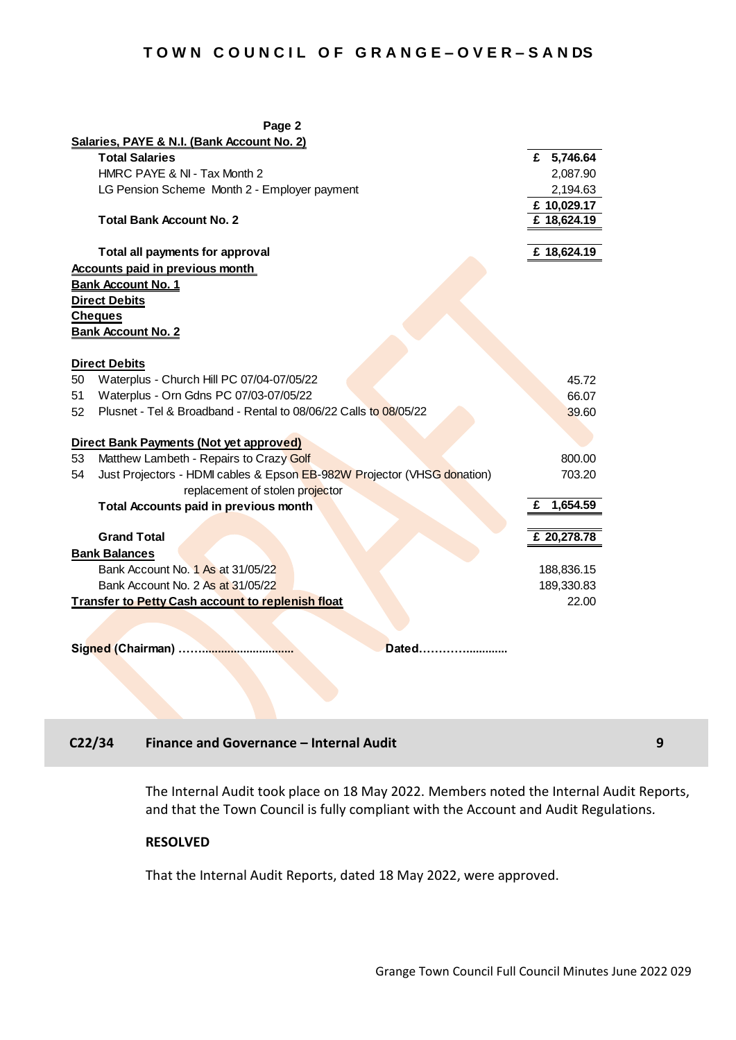|                                                          | Page 2                                                                  |   |             |
|----------------------------------------------------------|-------------------------------------------------------------------------|---|-------------|
|                                                          | Salaries, PAYE & N.I. (Bank Account No. 2)                              |   |             |
|                                                          | <b>Total Salaries</b>                                                   |   | £ 5,746.64  |
|                                                          | HMRC PAYE & NI - Tax Month 2                                            |   | 2,087.90    |
|                                                          | LG Pension Scheme Month 2 - Employer payment                            |   | 2,194.63    |
|                                                          |                                                                         |   | £10,029.17  |
|                                                          | <b>Total Bank Account No. 2</b>                                         |   | £ 18,624.19 |
|                                                          |                                                                         |   |             |
|                                                          | Total all payments for approval                                         |   | £ 18,624.19 |
|                                                          | <b>Accounts paid in previous month</b>                                  |   |             |
|                                                          | <b>Bank Account No. 1</b>                                               |   |             |
|                                                          | <b>Direct Debits</b>                                                    |   |             |
|                                                          | <b>Cheques</b>                                                          |   |             |
|                                                          | <b>Bank Account No. 2</b>                                               |   |             |
|                                                          |                                                                         |   |             |
|                                                          | <b>Direct Debits</b>                                                    |   |             |
| 50                                                       | Waterplus - Church Hill PC 07/04-07/05/22                               |   | 45.72       |
| 51                                                       | Waterplus - Orn Gdns PC 07/03-07/05/22                                  |   | 66.07       |
| 52                                                       | Plusnet - Tel & Broadband - Rental to 08/06/22 Calls to 08/05/22        |   | 39.60       |
|                                                          |                                                                         |   |             |
|                                                          | Direct Bank Payments (Not yet approved)                                 |   |             |
| 53                                                       | Matthew Lambeth - Repairs to Crazy Golf                                 |   | 800.00      |
| 54                                                       | Just Projectors - HDMI cables & Epson EB-982W Projector (VHSG donation) |   | 703.20      |
|                                                          | replacement of stolen projector                                         |   |             |
|                                                          | <b>Total Accounts paid in previous month</b>                            | £ | 1,654.59    |
|                                                          |                                                                         |   |             |
|                                                          | <b>Grand Total</b>                                                      |   | £ 20,278.78 |
|                                                          | <b>Bank Balances</b>                                                    |   |             |
|                                                          | Bank Account No. 1 As at 31/05/22                                       |   | 188,836.15  |
|                                                          | Bank Account No. 2 As at 31/05/22                                       |   | 189,330.83  |
| <b>Transfer to Petty Cash account to replenish float</b> |                                                                         |   | 22.00       |
|                                                          |                                                                         |   |             |
|                                                          |                                                                         |   |             |
|                                                          | Dated                                                                   |   |             |

# **C22/34 Finance and Governance – Internal Audit 9**

The Internal Audit took place on 18 May 2022. Members noted the Internal Audit Reports, and that the Town Council is fully compliant with the Account and Audit Regulations*.*

#### **RESOLVED**

That the Internal Audit Reports, dated 18 May 2022, were approved.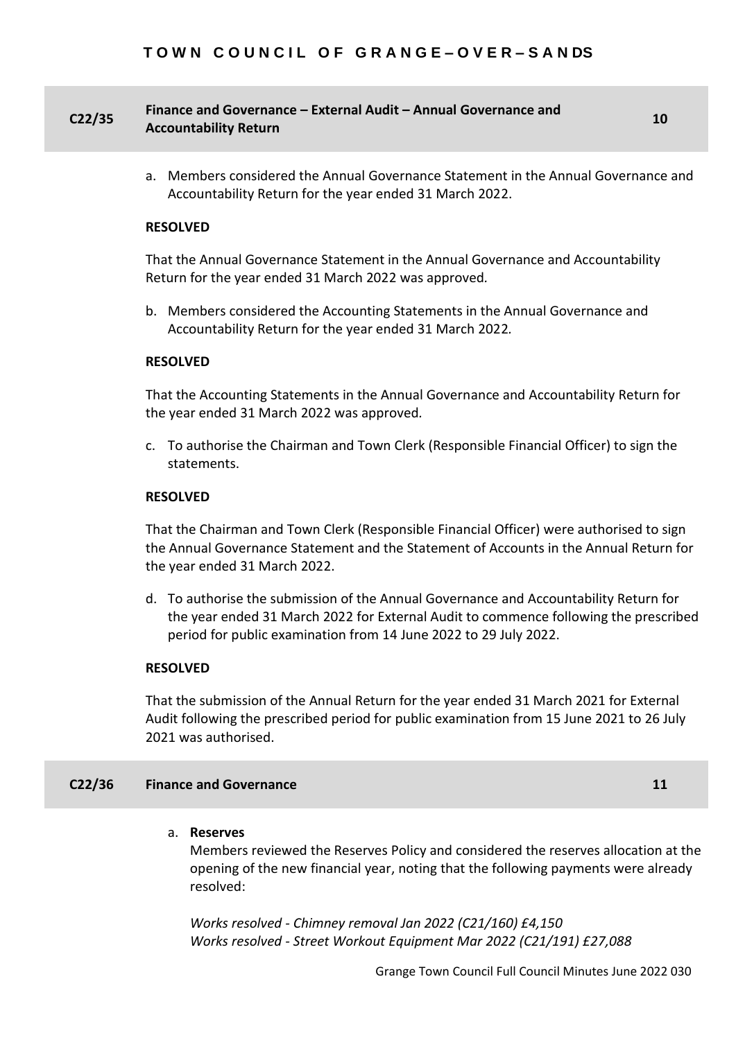## **C22/35 Finance and Governance – External Audit – Annual Governance and Accountability Return <sup>10</sup>**

a. Members considered the Annual Governance Statement in the Annual Governance and Accountability Return for the year ended 31 March 2022.

#### **RESOLVED**

That the Annual Governance Statement in the Annual Governance and Accountability Return for the year ended 31 March 2022 was approved*.*

b. Members considered the Accounting Statements in the Annual Governance and Accountability Return for the year ended 31 March 2022*.*

#### **RESOLVED**

That the Accounting Statements in the Annual Governance and Accountability Return for the year ended 31 March 2022 was approved*.*

c. To authorise the Chairman and Town Clerk (Responsible Financial Officer) to sign the statements.

#### **RESOLVED**

That the Chairman and Town Clerk (Responsible Financial Officer) were authorised to sign the Annual Governance Statement and the Statement of Accounts in the Annual Return for the year ended 31 March 2022.

d. To authorise the submission of the Annual Governance and Accountability Return for the year ended 31 March 2022 for External Audit to commence following the prescribed period for public examination from 14 June 2022 to 29 July 2022.

#### **RESOLVED**

That the submission of the Annual Return for the year ended 31 March 2021 for External Audit following the prescribed period for public examination from 15 June 2021 to 26 July 2021 was authorised.

#### **C22/36 Finance and Governance 11**

#### a. **Reserves**

Members reviewed the Reserves Policy and considered the reserves allocation at the opening of the new financial year, noting that the following payments were already resolved:

*Works resolved - Chimney removal Jan 2022 (C21/160) £4,150 Works resolved - Street Workout Equipment Mar 2022 (C21/191) £27,088*

Grange Town Council Full Council Minutes June 2022 030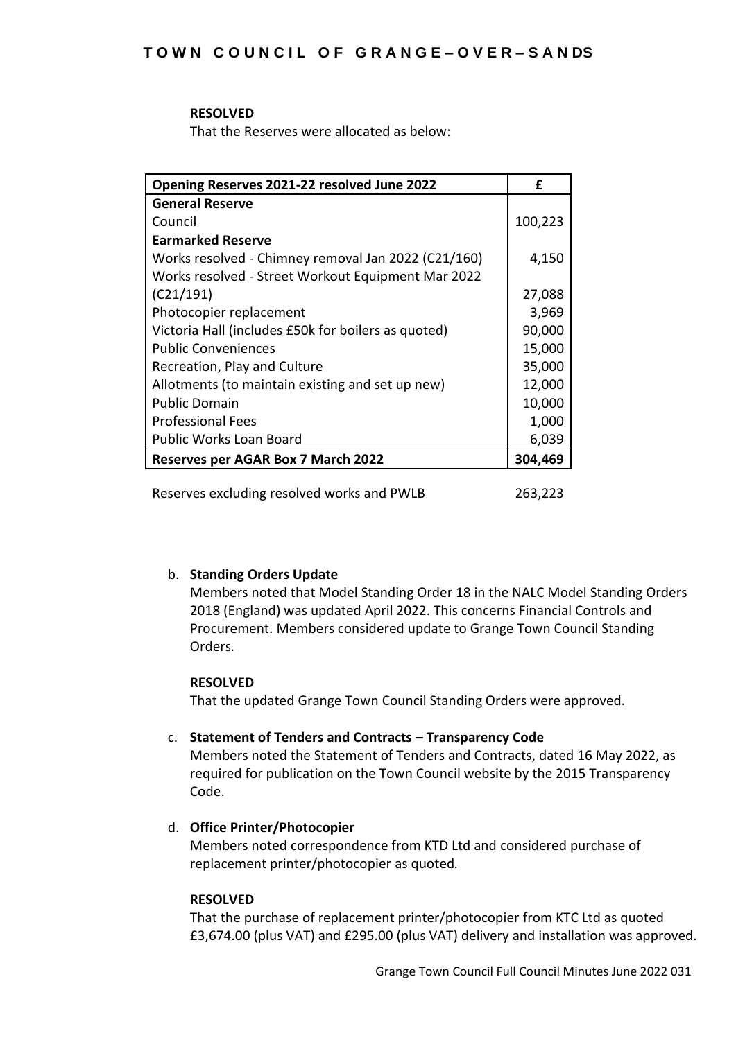### **RESOLVED**

That the Reserves were allocated as below:

| Opening Reserves 2021-22 resolved June 2022         | £       |
|-----------------------------------------------------|---------|
| <b>General Reserve</b>                              |         |
| Council                                             | 100,223 |
| <b>Earmarked Reserve</b>                            |         |
| Works resolved - Chimney removal Jan 2022 (C21/160) | 4,150   |
| Works resolved - Street Workout Equipment Mar 2022  |         |
| (C21/191)                                           | 27,088  |
| Photocopier replacement                             | 3,969   |
| Victoria Hall (includes £50k for boilers as quoted) | 90,000  |
| <b>Public Conveniences</b>                          | 15,000  |
| Recreation, Play and Culture                        | 35,000  |
| Allotments (to maintain existing and set up new)    | 12,000  |
| <b>Public Domain</b>                                | 10,000  |
| <b>Professional Fees</b>                            | 1,000   |
| <b>Public Works Loan Board</b>                      | 6,039   |
| <b>Reserves per AGAR Box 7 March 2022</b>           | 304,469 |
|                                                     |         |

Reserves excluding resolved works and PWLB 263,223

# b. **Standing Orders Update**

Members noted that Model Standing Order 18 in the NALC Model Standing Orders 2018 (England) was updated April 2022. This concerns Financial Controls and Procurement. Members considered update to Grange Town Council Standing Orders*.*

# **RESOLVED**

That the updated Grange Town Council Standing Orders were approved.

# c. **Statement of Tenders and Contracts – Transparency Code**

Members noted the Statement of Tenders and Contracts, dated 16 May 2022, as required for publication on the Town Council website by the 2015 Transparency Code.

# d. **Office Printer/Photocopier**

Members noted correspondence from KTD Ltd and considered purchase of replacement printer/photocopier as quoted*.*

### **RESOLVED**

That the purchase of replacement printer/photocopier from KTC Ltd as quoted £3,674.00 (plus VAT) and £295.00 (plus VAT) delivery and installation was approved.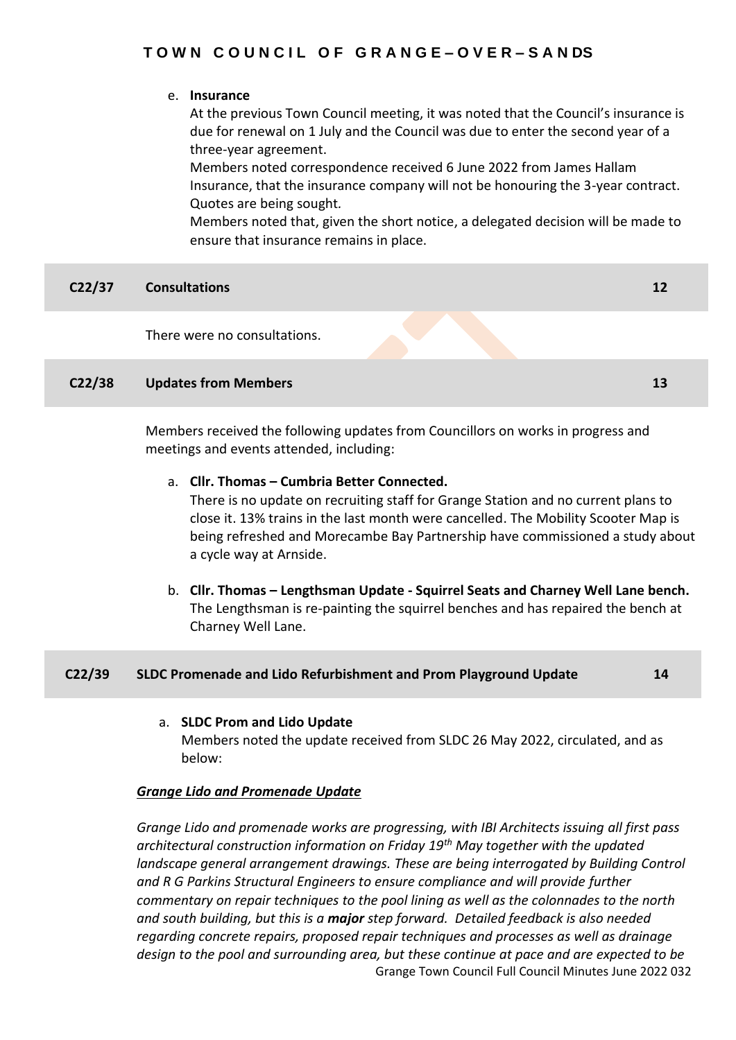## e. **Insurance**

At the previous Town Council meeting, it was noted that the Council's insurance is due for renewal on 1 July and the Council was due to enter the second year of a three-year agreement.

Members noted correspondence received 6 June 2022 from James Hallam Insurance, that the insurance company will not be honouring the 3-year contract. Quotes are being sought*.*

Members noted that, given the short notice, a delegated decision will be made to ensure that insurance remains in place.

| C22/37             | <b>Consultations</b>                                                             | 12 |
|--------------------|----------------------------------------------------------------------------------|----|
|                    | There were no consultations.                                                     |    |
| C <sub>22/38</sub> | <b>Updates from Members</b>                                                      | 13 |
|                    | Members received the following updates from Councillors on works in progress and |    |

a. **Cllr. Thomas – Cumbria Better Connected.**

meetings and events attended, including:

There is no update on recruiting staff for Grange Station and no current plans to close it. 13% trains in the last month were cancelled. The Mobility Scooter Map is being refreshed and Morecambe Bay Partnership have commissioned a study about a cycle way at Arnside.

b. **Cllr. Thomas – Lengthsman Update - Squirrel Seats and Charney Well Lane bench.** The Lengthsman is re-painting the squirrel benches and has repaired the bench at Charney Well Lane.

| C <sub>22/39</sub> | $\blacksquare$ SLDC Promenade and Lido Refurbishment and Prom Playground Update $\blacksquare$ |  |
|--------------------|------------------------------------------------------------------------------------------------|--|
|                    |                                                                                                |  |

# a. **SLDC Prom and Lido Update**

Members noted the update received from SLDC 26 May 2022, circulated, and as below:

# *Grange Lido and Promenade Update*

Grange Town Council Full Council Minutes June 2022 032 *Grange Lido and promenade works are progressing, with IBI Architects issuing all first pass architectural construction information on Friday 19th May together with the updated landscape general arrangement drawings. These are being interrogated by Building Control and R G Parkins Structural Engineers to ensure compliance and will provide further commentary on repair techniques to the pool lining as well as the colonnades to the north and south building, but this is a major step forward. Detailed feedback is also needed regarding concrete repairs, proposed repair techniques and processes as well as drainage design to the pool and surrounding area, but these continue at pace and are expected to be*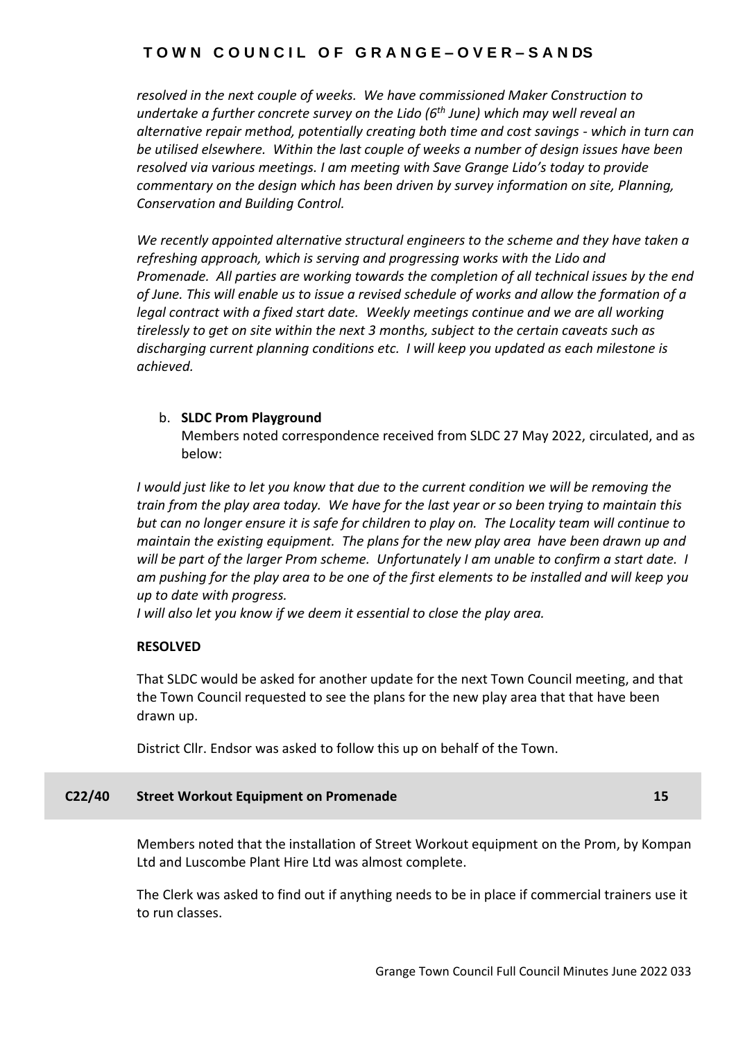*resolved in the next couple of weeks. We have commissioned Maker Construction to undertake a further concrete survey on the Lido (6th June) which may well reveal an alternative repair method, potentially creating both time and cost savings - which in turn can be utilised elsewhere. Within the last couple of weeks a number of design issues have been resolved via various meetings. I am meeting with Save Grange Lido's today to provide commentary on the design which has been driven by survey information on site, Planning, Conservation and Building Control.* 

*We recently appointed alternative structural engineers to the scheme and they have taken a refreshing approach, which is serving and progressing works with the Lido and Promenade. All parties are working towards the completion of all technical issues by the end of June. This will enable us to issue a revised schedule of works and allow the formation of a legal contract with a fixed start date. Weekly meetings continue and we are all working tirelessly to get on site within the next 3 months, subject to the certain caveats such as discharging current planning conditions etc. I will keep you updated as each milestone is achieved.*

# b. **SLDC Prom Playground**

Members noted correspondence received from SLDC 27 May 2022, circulated, and as below:

*I would just like to let you know that due to the current condition we will be removing the train from the play area today. We have for the last year or so been trying to maintain this but can no longer ensure it is safe for children to play on. The Locality team will continue to maintain the existing equipment. The plans for the new play area have been drawn up and will be part of the larger Prom scheme. Unfortunately I am unable to confirm a start date. I am pushing for the play area to be one of the first elements to be installed and will keep you up to date with progress.* 

*I will also let you know if we deem it essential to close the play area.*

# **RESOLVED**

That SLDC would be asked for another update for the next Town Council meeting, and that the Town Council requested to see the plans for the new play area that that have been drawn up.

District Cllr. Endsor was asked to follow this up on behalf of the Town.

# **C22/40 Street Workout Equipment on Promenade 15**

Members noted that the installation of Street Workout equipment on the Prom, by Kompan Ltd and Luscombe Plant Hire Ltd was almost complete.

The Clerk was asked to find out if anything needs to be in place if commercial trainers use it to run classes.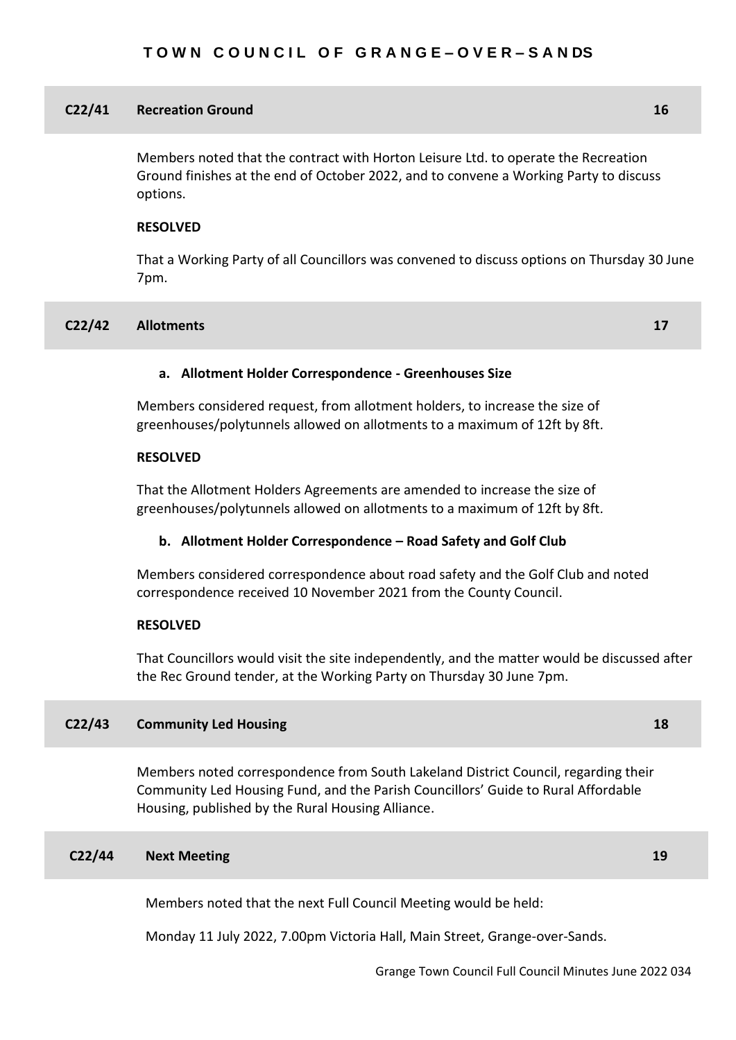#### **C22/41 Recreation Ground 16**

Members noted that the contract with Horton Leisure Ltd. to operate the Recreation Ground finishes at the end of October 2022, and to convene a Working Party to discuss options.

#### **RESOLVED**

That a Working Party of all Councillors was convened to discuss options on Thursday 30 June 7pm.

#### **C22/42 Allotments 17**

## **a. Allotment Holder Correspondence - Greenhouses Size**

Members considered request, from allotment holders, to increase the size of greenhouses/polytunnels allowed on allotments to a maximum of 12ft by 8ft*.*

#### **RESOLVED**

That the Allotment Holders Agreements are amended to increase the size of greenhouses/polytunnels allowed on allotments to a maximum of 12ft by 8ft*.*

#### **b. Allotment Holder Correspondence – Road Safety and Golf Club**

Members considered correspondence about road safety and the Golf Club and noted correspondence received 10 November 2021 from the County Council.

### **RESOLVED**

That Councillors would visit the site independently, and the matter would be discussed after the Rec Ground tender, at the Working Party on Thursday 30 June 7pm.

### **C22/43 Community Led Housing 18**

Members noted correspondence from South Lakeland District Council, regarding their Community Led Housing Fund, and the Parish Councillors' Guide to Rural Affordable Housing, published by the Rural Housing Alliance.

### **C22/44 Next Meeting 19**

Members noted that the next Full Council Meeting would be held:

Monday 11 July 2022, 7.00pm Victoria Hall, Main Street, Grange-over-Sands.